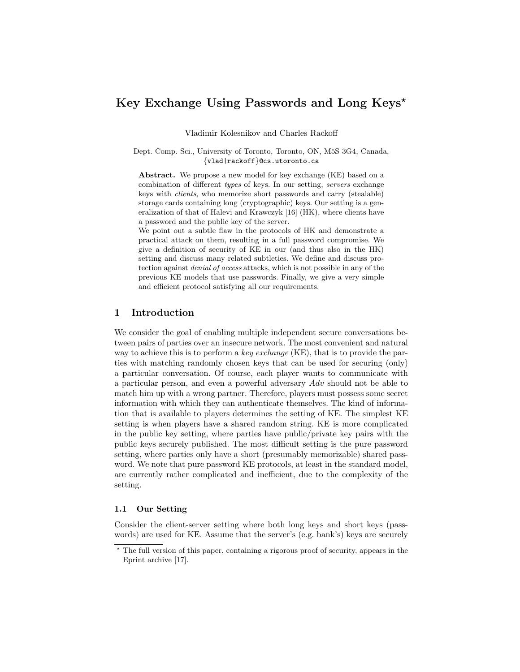# Key Exchange Using Passwords and Long Keys?

Vladimir Kolesnikov and Charles Rackoff

Dept. Comp. Sci., University of Toronto, Toronto, ON, M5S 3G4, Canada, {vlad|rackoff}@cs.utoronto.ca

Abstract. We propose a new model for key exchange (KE) based on a combination of different types of keys. In our setting, servers exchange keys with clients, who memorize short passwords and carry (stealable) storage cards containing long (cryptographic) keys. Our setting is a generalization of that of Halevi and Krawczyk [16] (HK), where clients have a password and the public key of the server.

We point out a subtle flaw in the protocols of HK and demonstrate a practical attack on them, resulting in a full password compromise. We give a definition of security of KE in our (and thus also in the HK) setting and discuss many related subtleties. We define and discuss protection against denial of access attacks, which is not possible in any of the previous KE models that use passwords. Finally, we give a very simple and efficient protocol satisfying all our requirements.

# 1 Introduction

We consider the goal of enabling multiple independent secure conversations between pairs of parties over an insecure network. The most convenient and natural way to achieve this is to perform a key exchange (KE), that is to provide the parties with matching randomly chosen keys that can be used for securing (only) a particular conversation. Of course, each player wants to communicate with a particular person, and even a powerful adversary Adv should not be able to match him up with a wrong partner. Therefore, players must possess some secret information with which they can authenticate themselves. The kind of information that is available to players determines the setting of KE. The simplest KE setting is when players have a shared random string. KE is more complicated in the public key setting, where parties have public/private key pairs with the public keys securely published. The most difficult setting is the pure password setting, where parties only have a short (presumably memorizable) shared password. We note that pure password KE protocols, at least in the standard model, are currently rather complicated and inefficient, due to the complexity of the setting.

### 1.1 Our Setting

Consider the client-server setting where both long keys and short keys (passwords) are used for KE. Assume that the server's (e.g. bank's) keys are securely

<sup>?</sup> The full version of this paper, containing a rigorous proof of security, appears in the Eprint archive [17].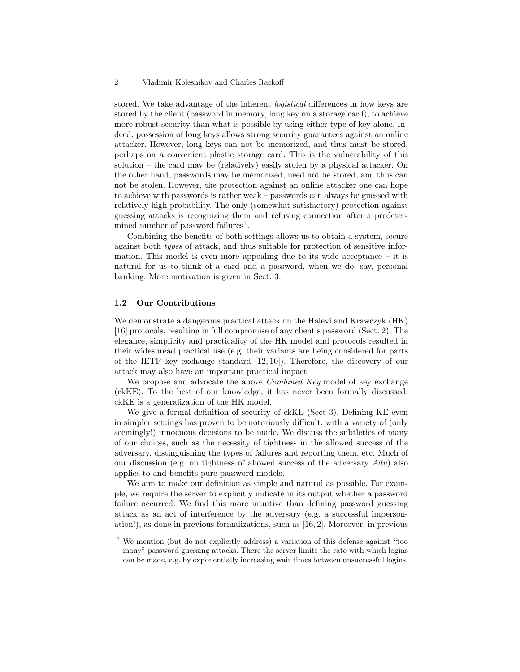stored. We take advantage of the inherent logistical differences in how keys are stored by the client (password in memory, long key on a storage card), to achieve more robust security than what is possible by using either type of key alone. Indeed, possession of long keys allows strong security guarantees against an online attacker. However, long keys can not be memorized, and thus must be stored, perhaps on a convenient plastic storage card. This is the vulnerability of this solution – the card may be (relatively) easily stolen by a physical attacker. On the other hand, passwords may be memorized, need not be stored, and thus can not be stolen. However, the protection against an online attacker one can hope to achieve with passwords is rather weak – passwords can always be guessed with relatively high probability. The only (somewhat satisfactory) protection against guessing attacks is recognizing them and refusing connection after a predetermined number of password failures<sup>1</sup>.

Combining the benefits of both settings allows us to obtain a system, secure against both types of attack, and thus suitable for protection of sensitive information. This model is even more appealing due to its wide acceptance – it is natural for us to think of a card and a password, when we do, say, personal banking. More motivation is given in Sect. 3.

## 1.2 Our Contributions

We demonstrate a dangerous practical attack on the Halevi and Krawczyk (HK) [16] protocols, resulting in full compromise of any client's password (Sect. 2). The elegance, simplicity and practicality of the HK model and protocols resulted in their widespread practical use (e.g. their variants are being considered for parts of the IETF key exchange standard  $[12, 10]$ ). Therefore, the discovery of our attack may also have an important practical impact.

We propose and advocate the above *Combined Key* model of key exchange (ckKE). To the best of our knowledge, it has never been formally discussed. ckKE is a generalization of the HK model.

We give a formal definition of security of ckKE (Sect 3). Defining KE even in simpler settings has proven to be notoriously difficult, with a variety of (only seemingly!) innocuous decisions to be made. We discuss the subtleties of many of our choices, such as the necessity of tightness in the allowed success of the adversary, distinguishing the types of failures and reporting them, etc. Much of our discussion (e.g. on tightness of allowed success of the adversary  $Adv$ ) also applies to and benefits pure password models.

We aim to make our definition as simple and natural as possible. For example, we require the server to explicitly indicate in its output whether a password failure occurred. We find this more intuitive than defining password guessing attack as an act of interference by the adversary (e.g. a successful impersonation!), as done in previous formalizations, such as [16, 2]. Moreover, in previous

<sup>1</sup> We mention (but do not explicitly address) a variation of this defense against "too many" password guessing attacks. There the server limits the rate with which logins can be made, e.g. by exponentially increasing wait times between unsuccessful logins.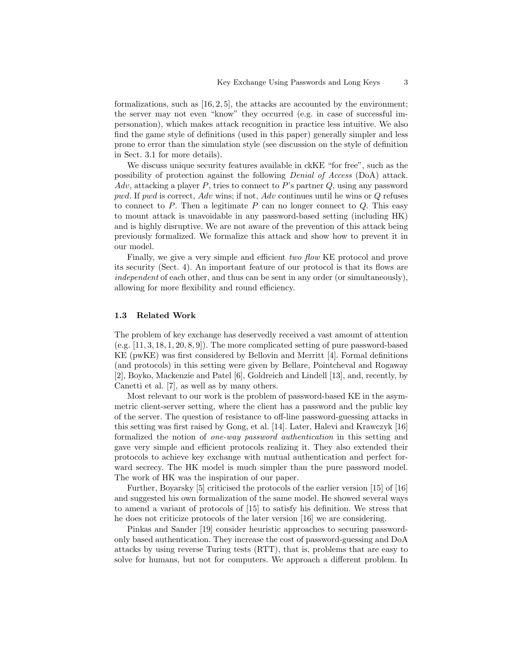formalizations, such as  $[16, 2, 5]$ , the attacks are accounted by the environment; the server may not even "know" they occurred (e.g. in case of successful impersonation), which makes attack recognition in practice less intuitive. We also find the game style of definitions (used in this paper) generally simpler and less prone to error than the simulation style (see discussion on the style of definition in Sect. 3.1 for more details).

We discuss unique security features available in ckKE "for free", such as the possibility of protection against the following Denial of Access (DoA) attack. Adv, attacking a player P, tries to connect to P's partner Q, using any password pwd. If pwd is correct, Adv wins; if not, Adv continues until he wins or Q refuses to connect to  $P$ . Then a legitimate  $P$  can no longer connect to  $Q$ . This easy to mount attack is unavoidable in any password-based setting (including HK) and is highly disruptive. We are not aware of the prevention of this attack being previously formalized. We formalize this attack and show how to prevent it in our model.

Finally, we give a very simple and efficient two flow KE protocol and prove its security (Sect. 4). An important feature of our protocol is that its flows are independent of each other, and thus can be sent in any order (or simultaneously), allowing for more flexibility and round efficiency.

#### 1.3 Related Work

The problem of key exchange has deservedly received a vast amount of attention (e.g. [11, 3, 18, 1, 20, 8, 9]). The more complicated setting of pure password-based KE (pwKE) was first considered by Bellovin and Merritt [4]. Formal definitions (and protocols) in this setting were given by Bellare, Pointcheval and Rogaway [2], Boyko, Mackenzie and Patel [6], Goldreich and Lindell [13], and, recently, by Canetti et al. [7], as well as by many others.

Most relevant to our work is the problem of password-based KE in the asymmetric client-server setting, where the client has a password and the public key of the server. The question of resistance to off-line password-guessing attacks in this setting was first raised by Gong, et al. [14]. Later, Halevi and Krawczyk [16] formalized the notion of one-way password authentication in this setting and gave very simple and efficient protocols realizing it. They also extended their protocols to achieve key exchange with mutual authentication and perfect forward secrecy. The HK model is much simpler than the pure password model. The work of HK was the inspiration of our paper.

Further, Boyarsky [5] criticised the protocols of the earlier version [15] of [16] and suggested his own formalization of the same model. He showed several ways to amend a variant of protocols of [15] to satisfy his definition. We stress that he does not criticize protocols of the later version [16] we are considering.

Pinkas and Sander [19] consider heuristic approaches to securing passwordonly based authentication. They increase the cost of password-guessing and DoA attacks by using reverse Turing tests (RTT), that is, problems that are easy to solve for humans, but not for computers. We approach a different problem. In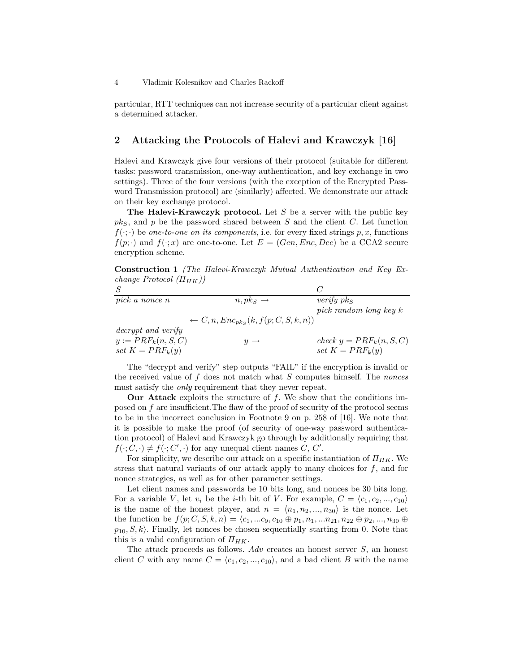particular, RTT techniques can not increase security of a particular client against a determined attacker.

# 2 Attacking the Protocols of Halevi and Krawczyk [16]

Halevi and Krawczyk give four versions of their protocol (suitable for different tasks: password transmission, one-way authentication, and key exchange in two settings). Three of the four versions (with the exception of the Encrypted Password Transmission protocol) are (similarly) affected. We demonstrate our attack on their key exchange protocol.

**The Halevi-Krawczyk protocol.** Let S be a server with the public key  $pk_S$ , and p be the password shared between S and the client C. Let function  $f(\cdot;\cdot)$  be one-to-one on its components, i.e. for every fixed strings p, x, functions  $f(p; \cdot)$  and  $f(\cdot; x)$  are one-to-one. Let  $E = (Gen, Enc, Dec)$  be a CCA2 secure encryption scheme.

Construction 1 (The Halevi-Krawczyk Mutual Authentication and Key Exchange Protocol  $(\Pi_{HK})$ )

| $pick\ a\ none\ n$        | $n, pk, s \rightarrow$                             | verify $pk_S$              |
|---------------------------|----------------------------------------------------|----------------------------|
|                           |                                                    | pick random long key $k$   |
|                           | $\leftarrow C, n, Enc_{pk_S}(k, f(p; C, S, k, n))$ |                            |
| <i>decrypt</i> and verify |                                                    |                            |
| $y := PRF_k(n, S, C)$     | $y \rightarrow$                                    | check $y = PRF_k(n, S, C)$ |
| set $K = PRF_k(y)$        |                                                    | set $K = PRF_k(y)$         |

The "decrypt and verify" step outputs "FAIL" if the encryption is invalid or the received value of  $f$  does not match what  $S$  computes himself. The nonces must satisfy the only requirement that they never repeat.

**Our Attack** exploits the structure of  $f$ . We show that the conditions imposed on f are insufficient.The flaw of the proof of security of the protocol seems to be in the incorrect conclusion in Footnote 9 on p. 258 of [16]. We note that it is possible to make the proof (of security of one-way password authentication protocol) of Halevi and Krawczyk go through by additionally requiring that  $f(\cdot; C, \cdot) \neq f(\cdot; C', \cdot)$  for any unequal client names C, C'.

For simplicity, we describe our attack on a specific instantiation of  $\Pi_{HK}$ . We stress that natural variants of our attack apply to many choices for  $f$ , and for nonce strategies, as well as for other parameter settings.

Let client names and passwords be 10 bits long, and nonces be 30 bits long. For a variable V, let  $v_i$  be the *i*-th bit of V. For example,  $C = \langle c_1, c_2, ..., c_{10} \rangle$ is the name of the honest player, and  $n = \langle n_1, n_2, ..., n_{30} \rangle$  is the nonce. Let the function be  $f(p; C, S, k, n) = \langle c_1, ... c_9, c_{10} \oplus p_1, n_1, ... n_{21}, n_{22} \oplus p_2, ..., n_{30} \oplus$  $p_{10}, S, k$ . Finally, let nonces be chosen sequentially starting from 0. Note that this is a valid configuration of  $\Pi_{HK}$ .

The attack proceeds as follows. Adv creates an honest server  $S$ , an honest client C with any name  $C = \langle c_1, c_2, ..., c_{10} \rangle$ , and a bad client B with the name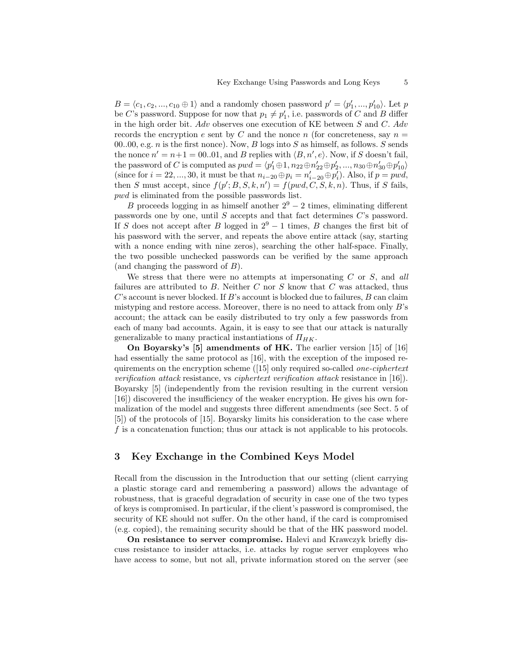$B = \langle c_1, c_2, ..., c_{10} \oplus 1 \rangle$  and a randomly chosen password  $p' = \langle p'_1, ..., p'_{10} \rangle$ . Let  $p$ be C's password. Suppose for now that  $p_1 \neq p'_1$ , i.e. passwords of C and B differ in the high order bit. Adv observes one execution of KE between  $S$  and  $C$ . Adv records the encryption e sent by C and the nonce n (for concreteness, say  $n =$ 00..00, e.g.  $n$  is the first nonce). Now,  $B$  logs into  $S$  as himself, as follows.  $S$  sends the nonce  $n' = n+1 = 00...01$ , and B replies with  $\langle B, n', e \rangle$ . Now, if S doesn't fail, the password of C is computed as  $pwd = \langle p'_1 \oplus 1, n_{22} \oplus n'_{22} \oplus p'_2, ..., n_{30} \oplus n'_{30} \oplus p'_{10} \rangle$ (since for  $i = 22, ..., 30$ , it must be that  $n_{i-20} \oplus p_i = n'_{i-20} \oplus p'_i$ ). Also, if  $p = pwd$ , then S must accept, since  $f(p';B,S,k,n') = f(pwd, C, S, k, n)$ . Thus, if S fails, pwd is eliminated from the possible passwords list.

B proceeds logging in as himself another  $2^9 - 2$  times, eliminating different passwords one by one, until S accepts and that fact determines C's password. If S does not accept after B logged in  $2^9 - 1$  times, B changes the first bit of his password with the server, and repeats the above entire attack (say, starting with a nonce ending with nine zeros), searching the other half-space. Finally, the two possible unchecked passwords can be verified by the same approach (and changing the password of  $B$ ).

We stress that there were no attempts at impersonating  $C$  or  $S$ , and all failures are attributed to  $B$ . Neither  $C$  nor  $S$  know that  $C$  was attacked, thus  $C$ 's account is never blocked. If  $B$ 's account is blocked due to failures,  $B$  can claim mistyping and restore access. Moreover, there is no need to attack from only  $B$ 's account; the attack can be easily distributed to try only a few passwords from each of many bad accounts. Again, it is easy to see that our attack is naturally generalizable to many practical instantiations of  $\Pi_{HK}$ .

On Boyarsky's [5] amendments of HK. The earlier version [15] of [16] had essentially the same protocol as [16], with the exception of the imposed requirements on the encryption scheme ([15] only required so-called one-ciphertext verification attack resistance, vs ciphertext verification attack resistance in [16]). Boyarsky [5] (independently from the revision resulting in the current version [16]) discovered the insufficiency of the weaker encryption. He gives his own formalization of the model and suggests three different amendments (see Sect. 5 of [5]) of the protocols of [15]. Boyarsky limits his consideration to the case where f is a concatenation function; thus our attack is not applicable to his protocols.

# 3 Key Exchange in the Combined Keys Model

Recall from the discussion in the Introduction that our setting (client carrying a plastic storage card and remembering a password) allows the advantage of robustness, that is graceful degradation of security in case one of the two types of keys is compromised. In particular, if the client's password is compromised, the security of KE should not suffer. On the other hand, if the card is compromised (e.g. copied), the remaining security should be that of the HK password model.

On resistance to server compromise. Halevi and Krawczyk briefly discuss resistance to insider attacks, i.e. attacks by rogue server employees who have access to some, but not all, private information stored on the server (see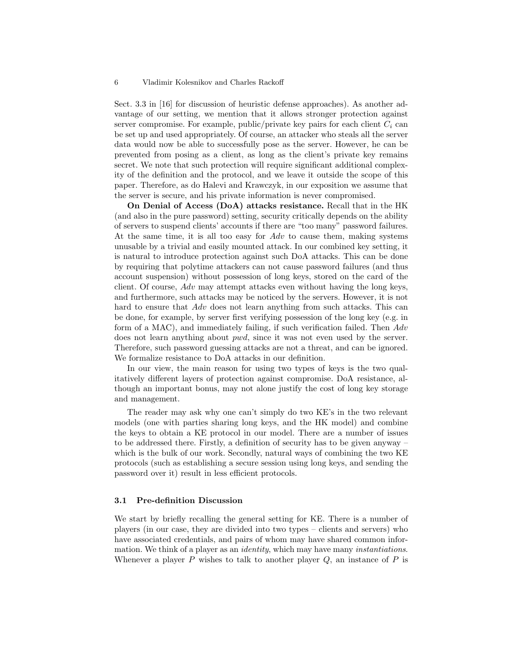Sect. 3.3 in [16] for discussion of heuristic defense approaches). As another advantage of our setting, we mention that it allows stronger protection against server compromise. For example, public/private key pairs for each client  $C_i$  can be set up and used appropriately. Of course, an attacker who steals all the server data would now be able to successfully pose as the server. However, he can be prevented from posing as a client, as long as the client's private key remains secret. We note that such protection will require significant additional complexity of the definition and the protocol, and we leave it outside the scope of this paper. Therefore, as do Halevi and Krawczyk, in our exposition we assume that the server is secure, and his private information is never compromised.

On Denial of Access (DoA) attacks resistance. Recall that in the HK (and also in the pure password) setting, security critically depends on the ability of servers to suspend clients' accounts if there are "too many" password failures. At the same time, it is all too easy for  $Adv$  to cause them, making systems unusable by a trivial and easily mounted attack. In our combined key setting, it is natural to introduce protection against such DoA attacks. This can be done by requiring that polytime attackers can not cause password failures (and thus account suspension) without possession of long keys, stored on the card of the client. Of course, Adv may attempt attacks even without having the long keys, and furthermore, such attacks may be noticed by the servers. However, it is not hard to ensure that Adv does not learn anything from such attacks. This can be done, for example, by server first verifying possession of the long key (e.g. in form of a MAC), and immediately failing, if such verification failed. Then Adv does not learn anything about *pwd*, since it was not even used by the server. Therefore, such password guessing attacks are not a threat, and can be ignored. We formalize resistance to DoA attacks in our definition.

In our view, the main reason for using two types of keys is the two qualitatively different layers of protection against compromise. DoA resistance, although an important bonus, may not alone justify the cost of long key storage and management.

The reader may ask why one can't simply do two KE's in the two relevant models (one with parties sharing long keys, and the HK model) and combine the keys to obtain a KE protocol in our model. There are a number of issues to be addressed there. Firstly, a definition of security has to be given anyway – which is the bulk of our work. Secondly, natural ways of combining the two KE protocols (such as establishing a secure session using long keys, and sending the password over it) result in less efficient protocols.

#### 3.1 Pre-definition Discussion

We start by briefly recalling the general setting for KE. There is a number of players (in our case, they are divided into two types – clients and servers) who have associated credentials, and pairs of whom may have shared common information. We think of a player as an *identity*, which may have many *instantiations*. Whenever a player  $P$  wishes to talk to another player  $Q$ , an instance of  $P$  is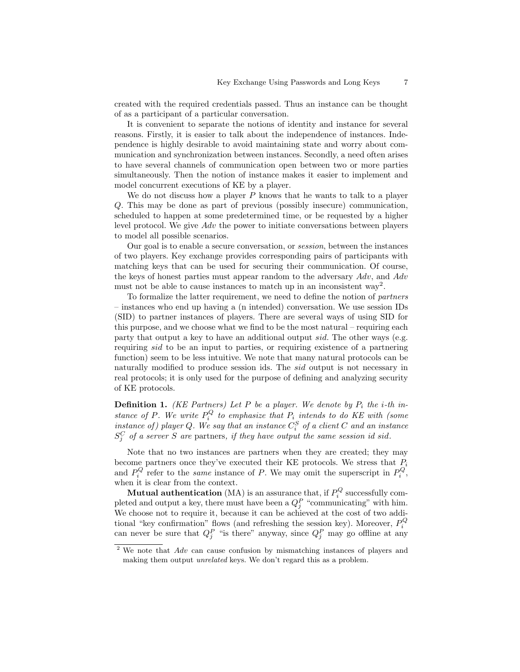created with the required credentials passed. Thus an instance can be thought of as a participant of a particular conversation.

It is convenient to separate the notions of identity and instance for several reasons. Firstly, it is easier to talk about the independence of instances. Independence is highly desirable to avoid maintaining state and worry about communication and synchronization between instances. Secondly, a need often arises to have several channels of communication open between two or more parties simultaneously. Then the notion of instance makes it easier to implement and model concurrent executions of KE by a player.

We do not discuss how a player  $P$  knows that he wants to talk to a player Q. This may be done as part of previous (possibly insecure) communication, scheduled to happen at some predetermined time, or be requested by a higher level protocol. We give Adv the power to initiate conversations between players to model all possible scenarios.

Our goal is to enable a secure conversation, or session, between the instances of two players. Key exchange provides corresponding pairs of participants with matching keys that can be used for securing their communication. Of course, the keys of honest parties must appear random to the adversary  $Adv$ , and  $Adv$ must not be able to cause instances to match up in an inconsistent way<sup>2</sup>.

To formalize the latter requirement, we need to define the notion of partners – instances who end up having a (n intended) conversation. We use session IDs (SID) to partner instances of players. There are several ways of using SID for this purpose, and we choose what we find to be the most natural – requiring each party that output a key to have an additional output sid. The other ways (e.g. requiring sid to be an input to parties, or requiring existence of a partnering function) seem to be less intuitive. We note that many natural protocols can be naturally modified to produce session ids. The sid output is not necessary in real protocols; it is only used for the purpose of defining and analyzing security of KE protocols.

**Definition 1.** (KE Partners) Let P be a player. We denote by  $P_i$  the *i*-th instance of P. We write  $P_i^Q$  to emphasize that  $P_i$  intends to do KE with (some instance of) player Q. We say that an instance  $C_i^S$  of a client C and an instance  $S_j^C$  of a server S are partners, if they have output the same session id sid.

Note that no two instances are partners when they are created; they may become partners once they've executed their KE protocols. We stress that  $P_i$ and  $P_i^Q$  refer to the *same* instance of P. We may omit the superscript in  $P_i^Q$ , when it is clear from the context.

**Mutual authentication** (MA) is an assurance that, if  $P_i^Q$  successfully completed and output a key, there must have been a  $Q_j^P$  "communicating" with him. We choose not to require it, because it can be achieved at the cost of two additional "key confirmation" flows (and refreshing the session key). Moreover,  $P_i^Q$ can never be sure that  $Q_j^P$  "is there" anyway, since  $Q_j^P$  may go offline at any

 $2$  We note that  $Adv$  can cause confusion by mismatching instances of players and making them output *unrelated* keys. We don't regard this as a problem.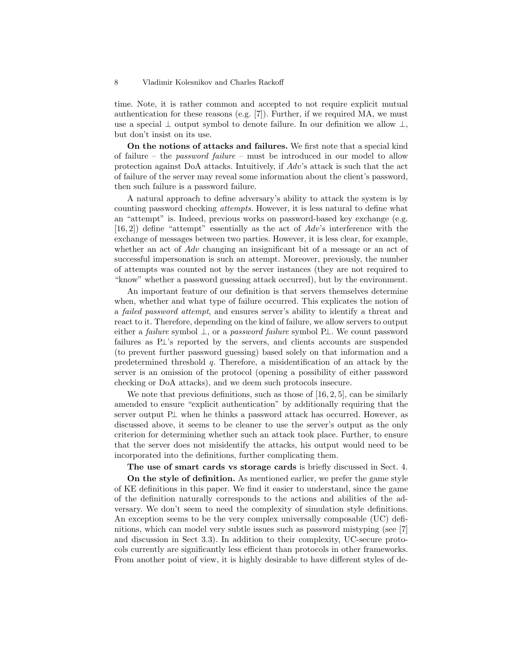time. Note, it is rather common and accepted to not require explicit mutual authentication for these reasons (e.g. [7]). Further, if we required MA, we must use a special ⊥ output symbol to denote failure. In our definition we allow ⊥, but don't insist on its use.

On the notions of attacks and failures. We first note that a special kind of failure – the *password failure* – must be introduced in our model to allow protection against DoA attacks. Intuitively, if Adv's attack is such that the act of failure of the server may reveal some information about the client's password, then such failure is a password failure.

A natural approach to define adversary's ability to attack the system is by counting password checking attempts. However, it is less natural to define what an "attempt" is. Indeed, previous works on password-based key exchange (e.g.  $[16, 2]$  define "attempt" essentially as the act of  $Adv$ 's interference with the exchange of messages between two parties. However, it is less clear, for example, whether an act of Adv changing an insignificant bit of a message or an act of successful impersonation is such an attempt. Moreover, previously, the number of attempts was counted not by the server instances (they are not required to "know" whether a password guessing attack occurred), but by the environment.

An important feature of our definition is that servers themselves determine when, whether and what type of failure occurred. This explicates the notion of a failed password attempt, and ensures server's ability to identify a threat and react to it. Therefore, depending on the kind of failure, we allow servers to output either a *failure* symbol  $\perp$ , or a *password failure* symbol P $\perp$ . We count password failures as P⊥'s reported by the servers, and clients accounts are suspended (to prevent further password guessing) based solely on that information and a predetermined threshold  $q$ . Therefore, a misidentification of an attack by the server is an omission of the protocol (opening a possibility of either password checking or DoA attacks), and we deem such protocols insecure.

We note that previous definitions, such as those of  $[16, 2, 5]$ , can be similarly amended to ensure "explicit authentication" by additionally requiring that the server output P⊥ when he thinks a password attack has occurred. However, as discussed above, it seems to be cleaner to use the server's output as the only criterion for determining whether such an attack took place. Further, to ensure that the server does not misidentify the attacks, his output would need to be incorporated into the definitions, further complicating them.

The use of smart cards vs storage cards is briefly discussed in Sect. 4.

On the style of definition. As mentioned earlier, we prefer the game style of KE definitions in this paper. We find it easier to understand, since the game of the definition naturally corresponds to the actions and abilities of the adversary. We don't seem to need the complexity of simulation style definitions. An exception seems to be the very complex universally composable (UC) definitions, which can model very subtle issues such as password mistyping (see [7] and discussion in Sect 3.3). In addition to their complexity, UC-secure protocols currently are significantly less efficient than protocols in other frameworks. From another point of view, it is highly desirable to have different styles of de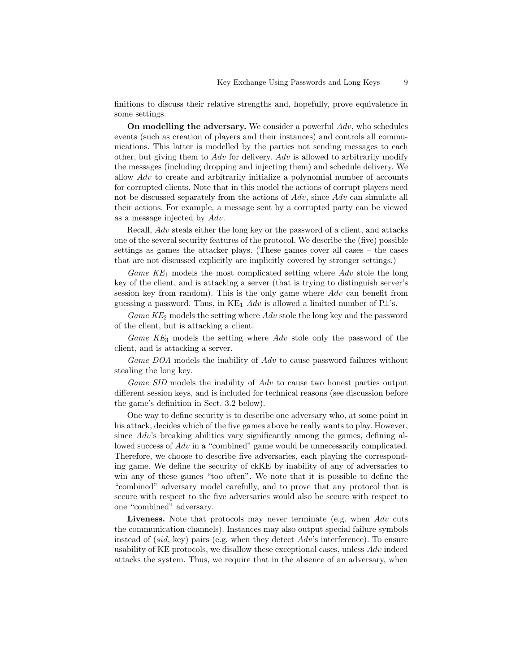finitions to discuss their relative strengths and, hopefully, prove equivalence in some settings.

On modelling the adversary. We consider a powerful  $Adv$ , who schedules events (such as creation of players and their instances) and controls all communications. This latter is modelled by the parties not sending messages to each other, but giving them to  $Adv$  for delivery. Adv is allowed to arbitrarily modify the messages (including dropping and injecting them) and schedule delivery. We allow Adv to create and arbitrarily initialize a polynomial number of accounts for corrupted clients. Note that in this model the actions of corrupt players need not be discussed separately from the actions of  $Adv$ , since  $Adv$  can simulate all their actions. For example, a message sent by a corrupted party can be viewed as a message injected by Adv.

Recall, Adv steals either the long key or the password of a client, and attacks one of the several security features of the protocol. We describe the (five) possible settings as games the attacker plays. (These games cover all cases – the cases that are not discussed explicitly are implicitly covered by stronger settings.)

Game  $KE_1$  models the most complicated setting where  $Adv$  stole the long key of the client, and is attacking a server (that is trying to distinguish server's session key from random). This is the only game where  $Adv$  can benefit from guessing a password. Thus, in KE<sub>1</sub> Adv is allowed a limited number of P $\perp$ 's.

Game  $KE_2$  models the setting where  $Adv$  stole the long key and the password of the client, but is attacking a client.

Game  $KE_3$  models the setting where Adv stole only the password of the client, and is attacking a server.

Game DOA models the inability of Adv to cause password failures without stealing the long key.

Game SID models the inability of Adv to cause two honest parties output different session keys, and is included for technical reasons (see discussion before the game's definition in Sect. 3.2 below).

One way to define security is to describe one adversary who, at some point in his attack, decides which of the five games above he really wants to play. However, since Adv's breaking abilities vary significantly among the games, defining allowed success of Adv in a "combined" game would be unnecessarily complicated. Therefore, we choose to describe five adversaries, each playing the corresponding game. We define the security of ckKE by inability of any of adversaries to win any of these games "too often". We note that it is possible to define the "combined" adversary model carefully, and to prove that any protocol that is secure with respect to the five adversaries would also be secure with respect to one "combined" adversary.

Liveness. Note that protocols may never terminate (e.g. when Adv cuts the communication channels). Instances may also output special failure symbols instead of  $(sid, \text{key})$  pairs (e.g. when they detect  $Adv$ 's interference). To ensure usability of KE protocols, we disallow these exceptional cases, unless Adv indeed attacks the system. Thus, we require that in the absence of an adversary, when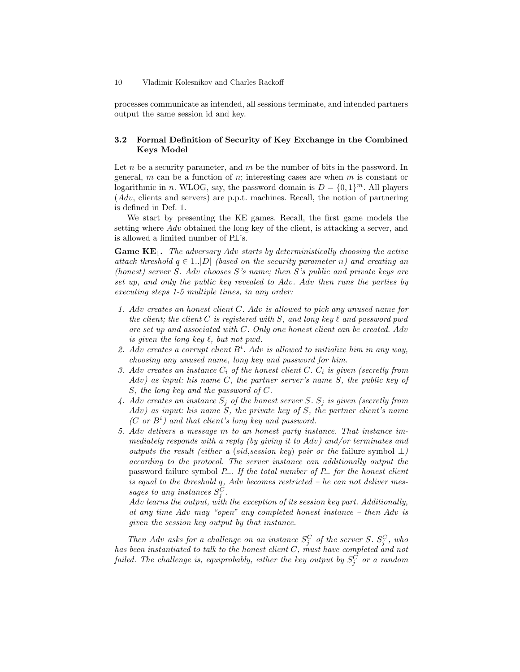processes communicate as intended, all sessions terminate, and intended partners output the same session id and key.

### 3.2 Formal Definition of Security of Key Exchange in the Combined Keys Model

Let  $n$  be a security parameter, and  $m$  be the number of bits in the password. In general, m can be a function of n; interesting cases are when  $m$  is constant or logarithmic in *n*. WLOG, say, the password domain is  $D = \{0, 1\}^m$ . All players (Adv, clients and servers) are p.p.t. machines. Recall, the notion of partnering is defined in Def. 1.

We start by presenting the KE games. Recall, the first game models the setting where Adv obtained the long key of the client, is attacking a server, and is allowed a limited number of P⊥'s.

**Game**  $KE_1$ **.** The adversary Adv starts by deterministically choosing the active attack threshold  $q \in 1..|D|$  (based on the security parameter n) and creating an (honest) server S. Adv chooses S's name; then S's public and private keys are set up, and only the public key revealed to Adv. Adv then runs the parties by executing steps 1-5 multiple times, in any order:

- 1. Adv creates an honest client C. Adv is allowed to pick any unused name for the client; the client C is registered with S, and long key  $\ell$  and password pwd are set up and associated with  $C$ . Only one honest client can be created. Adv is given the long key  $\ell$ , but not pwd.
- 2. Adv creates a corrupt client  $B^i$ . Adv is allowed to initialize him in any way, choosing any unused name, long key and password for him.
- 3. Adv creates an instance  $C_i$  of the honest client C.  $C_i$  is given (secretly from Adv) as input: his name C, the partner server's name S, the public key of S, the long key and the password of C.
- 4. Adv creates an instance  $S_j$  of the honest server S.  $S_j$  is given (secretly from Adv) as input: his name S, the private key of S, the partner client's name  $(C \text{ or } B^i)$  and that client's long key and password.
- 5. Adv delivers a message m to an honest party instance. That instance immediately responds with a reply (by giving it to Adv) and/or terminates and outputs the result (either a (sid,session key) pair or the failure symbol  $\perp$ ) according to the protocol. The server instance can additionally output the password failure symbol P⊥. If the total number of P⊥ for the honest client is equal to the threshold q, Adv becomes restricted – he can not deliver messages to any instances  $S_j^C$ .

Adv learns the output, with the exception of its session key part. Additionally, at any time Adv may "open" any completed honest instance – then Adv is given the session key output by that instance.

Then Adv asks for a challenge on an instance  $S_j^C$  of the server S.  $S_j^C$ , who has been instantiated to talk to the honest client  $C$ , must have completed and not failed. The challenge is, equiprobably, either the key output by  $S^C_j$  or a random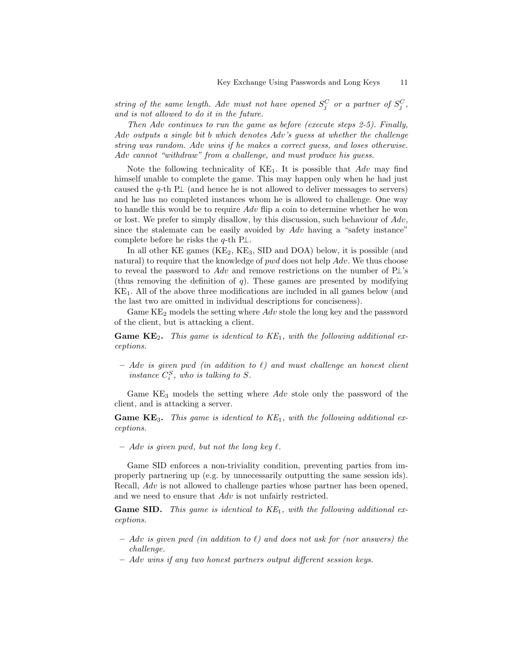string of the same length. Adv must not have opened  $S_j^C$  or a partner of  $S_j^C$ , and is not allowed to do it in the future.

Then Adv continues to run the game as before (execute steps 2-5). Finally, Adv outputs a single bit b which denotes Adv's guess at whether the challenge string was random. Adv wins if he makes a correct guess, and loses otherwise. Adv cannot "withdraw" from a challenge, and must produce his quess.

Note the following technicality of  $KE<sub>1</sub>$ . It is possible that  $Adv$  may find himself unable to complete the game. This may happen only when he had just caused the q-th P $\perp$  (and hence he is not allowed to deliver messages to servers) and he has no completed instances whom he is allowed to challenge. One way to handle this would be to require Adv flip a coin to determine whether he won or lost. We prefer to simply disallow, by this discussion, such behaviour of Adv, since the stalemate can be easily avoided by  $Adv$  having a "safety instance" complete before he risks the q-th P $\perp$ .

In all other  $KE$  games  $(KE<sub>2</sub>, KE<sub>3</sub>, SID and DOA)$  below, it is possible (and natural) to require that the knowledge of pwd does not help Adv. We thus choose to reveal the password to Adv and remove restrictions on the number of  $PL$ 's (thus removing the definition of q). These games are presented by modifying KE1. All of the above three modifications are included in all games below (and the last two are omitted in individual descriptions for conciseness).

Game  $KE<sub>2</sub>$  models the setting where  $Adv$  stole the long key and the password of the client, but is attacking a client.

**Game KE<sub>2</sub>.** This game is identical to  $KE<sub>1</sub>$ , with the following additional exceptions.

 $-$  Adv is given pwd (in addition to  $\ell$ ) and must challenge an honest client instance  $C_i^S$ , who is talking to S.

Game  $KE<sub>3</sub>$  models the setting where  $Adv$  stole only the password of the client, and is attacking a server.

**Game KE<sub>3</sub>.** This game is identical to KE<sub>1</sub>, with the following additional exceptions.

– Adv is given pwd, but not the long key  $\ell$ .

Game SID enforces a non-triviality condition, preventing parties from improperly partnering up (e.g. by unnecessarily outputting the same session ids). Recall, Adv is not allowed to challenge parties whose partner has been opened, and we need to ensure that Adv is not unfairly restricted.

**Game SID.** This game is identical to  $KE<sub>1</sub>$ , with the following additional exceptions.

- Adv is given pwd (in addition to  $\ell$ ) and does not ask for (nor answers) the challenge.
- Adv wins if any two honest partners output different session keys.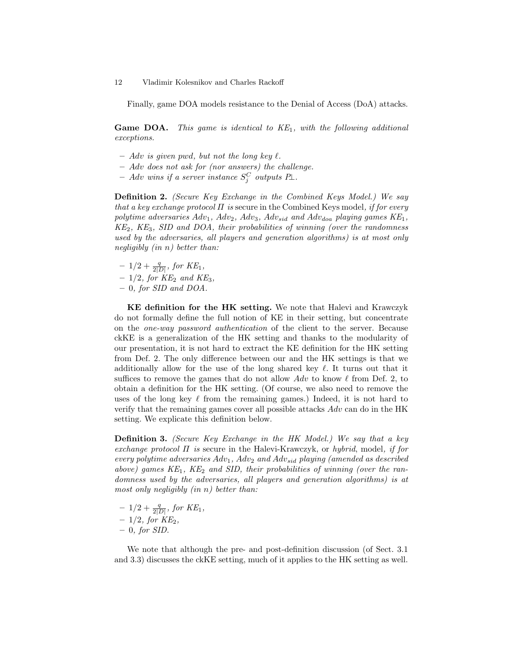Finally, game DOA models resistance to the Denial of Access (DoA) attacks.

**Game DOA.** This game is identical to  $KE<sub>1</sub>$ , with the following additional exceptions.

- $-$  Adv is given pwd, but not the long key  $\ell$ .
- Adv does not ask for (nor answers) the challenge.
- $-$  Adv wins if a server instance  $S_j^C$  outputs P $\perp$ .

Definition 2. (Secure Key Exchange in the Combined Keys Model.) We say that a key exchange protocol  $\Pi$  is secure in the Combined Keys model, if for every polytime adversaries  $Adv_1$ ,  $Adv_2$ ,  $Adv_3$ ,  $Adv_{sid}$  and  $Adv_{doa}$  playing games  $KE_1$ ,  $KE<sub>2</sub>$ ,  $KE<sub>3</sub>$ , SID and DOA, their probabilities of winning (over the randomness used by the adversaries, all players and generation algorithms) is at most only negligibly  $(in n)$  better than:

- $-1/2+\frac{q}{2|D|}$ , for KE<sub>1</sub>,
- $-1/2$ , for  $KE_2$  and  $KE_3$ ,
- 0, for SID and DOA.

KE definition for the HK setting. We note that Halevi and Krawczyk do not formally define the full notion of KE in their setting, but concentrate on the one-way password authentication of the client to the server. Because ckKE is a generalization of the HK setting and thanks to the modularity of our presentation, it is not hard to extract the KE definition for the HK setting from Def. 2. The only difference between our and the HK settings is that we additionally allow for the use of the long shared key  $\ell$ . It turns out that it suffices to remove the games that do not allow  $Adv$  to know  $\ell$  from Def. 2, to obtain a definition for the HK setting. (Of course, we also need to remove the uses of the long key  $\ell$  from the remaining games.) Indeed, it is not hard to verify that the remaining games cover all possible attacks Adv can do in the HK setting. We explicate this definition below.

**Definition 3.** (Secure Key Exchange in the HK Model.) We say that a key exchange protocol  $\Pi$  is secure in the Halevi-Krawczyk, or hybrid, model, if for every polytime adversaries  $Adv_1$ ,  $Adv_2$  and  $Adv_{sid}$  playing (amended as described above) games  $KE_1$ ,  $KE_2$  and SID, their probabilities of winning (over the randomness used by the adversaries, all players and generation algorithms) is at most only negligibly  $(in n)$  better than:

- $-1/2+\frac{q}{2|D|}$ , for KE<sub>1</sub>,  $-1/2$ , for  $KE_2$ ,
- $-0$ , for SID.

We note that although the pre- and post-definition discussion (of Sect. 3.1 and 3.3) discusses the ckKE setting, much of it applies to the HK setting as well.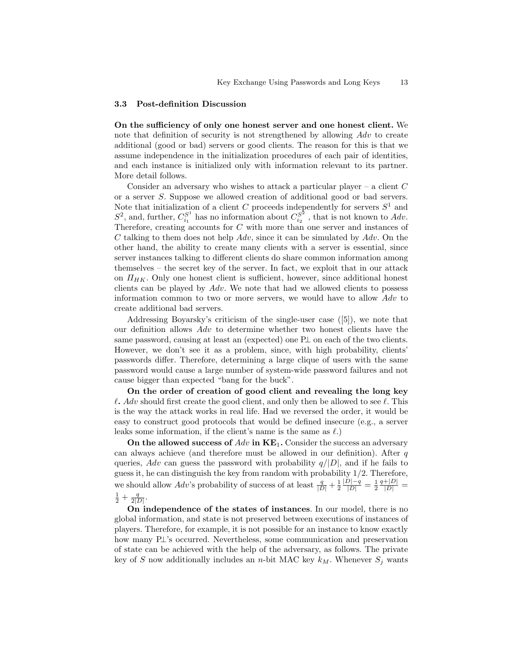### 3.3 Post-definition Discussion

On the sufficiency of only one honest server and one honest client. We note that definition of security is not strengthened by allowing Adv to create additional (good or bad) servers or good clients. The reason for this is that we assume independence in the initialization procedures of each pair of identities, and each instance is initialized only with information relevant to its partner. More detail follows.

Consider an adversary who wishes to attack a particular player – a client  $C$ or a server S. Suppose we allowed creation of additional good or bad servers. Note that initialization of a client C proceeds independently for servers  $S<sup>1</sup>$  and  $S^2$ , and, further,  $C_{i_1}^{S^1}$  has no information about  $C_{i_2}^{S^2}$ , that is not known to Adv. Therefore, creating accounts for C with more than one server and instances of C talking to them does not help  $Adv$ , since it can be simulated by  $Adv$ . On the other hand, the ability to create many clients with a server is essential, since server instances talking to different clients do share common information among themselves – the secret key of the server. In fact, we exploit that in our attack on  $\Pi_{HK}$ . Only one honest client is sufficient, however, since additional honest clients can be played by Adv. We note that had we allowed clients to possess information common to two or more servers, we would have to allow Adv to create additional bad servers.

Addressing Boyarsky's criticism of the single-user case ([5]), we note that our definition allows Adv to determine whether two honest clients have the same password, causing at least an (expected) one P⊥ on each of the two clients. However, we don't see it as a problem, since, with high probability, clients' passwords differ. Therefore, determining a large clique of users with the same password would cause a large number of system-wide password failures and not cause bigger than expected "bang for the buck".

On the order of creation of good client and revealing the long key  $\ell$ . Adv should first create the good client, and only then be allowed to see  $\ell$ . This is the way the attack works in real life. Had we reversed the order, it would be easy to construct good protocols that would be defined insecure (e.g., a server leaks some information, if the client's name is the same as  $\ell$ .)

On the allowed success of  $Adv$  in  $KE<sub>1</sub>$ . Consider the success an adversary can always achieve (and therefore must be allowed in our definition). After  $q$ queries, Adv can guess the password with probability  $q/|D|$ , and if he fails to guess it, he can distinguish the key from random with probability 1/2. Therefore, we should allow Adv's probability of success of at least  $\frac{q}{|D|} + \frac{1}{2}$  $\frac{|D|-q}{|D|}=\frac{1}{2}$  $\frac{q+|D|}{|D|} =$  $rac{1}{2} + \frac{q}{2|D|}$ .

On independence of the states of instances. In our model, there is no global information, and state is not preserved between executions of instances of players. Therefore, for example, it is not possible for an instance to know exactly how many P⊥'s occurred. Nevertheless, some communication and preservation of state can be achieved with the help of the adversary, as follows. The private key of S now additionally includes an n-bit MAC key  $k_M$ . Whenever  $S_j$  wants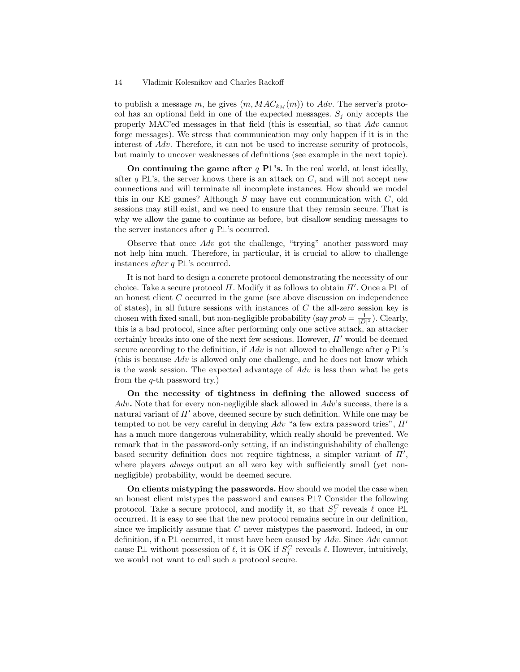to publish a message m, he gives  $(m, MAC_{k_M}(m))$  to Adv. The server's protocol has an optional field in one of the expected messages.  $S_j$  only accepts the properly MAC'ed messages in that field (this is essential, so that Adv cannot forge messages). We stress that communication may only happen if it is in the interest of Adv. Therefore, it can not be used to increase security of protocols, but mainly to uncover weaknesses of definitions (see example in the next topic).

On continuing the game after  $q \mathbf{P} \perp$ 's. In the real world, at least ideally, after q P⊥'s, the server knows there is an attack on C, and will not accept new connections and will terminate all incomplete instances. How should we model this in our KE games? Although S may have cut communication with  $C$ , old sessions may still exist, and we need to ensure that they remain secure. That is why we allow the game to continue as before, but disallow sending messages to the server instances after  $q \mathrm{PL}$ 's occurred.

Observe that once Adv got the challenge, "trying" another password may not help him much. Therefore, in particular, it is crucial to allow to challenge instances after q  $PL$ 's occurred.

It is not hard to design a concrete protocol demonstrating the necessity of our choice. Take a secure protocol  $\Pi$ . Modify it as follows to obtain  $\Pi'$ . Once a P $\perp$  of an honest client C occurred in the game (see above discussion on independence of states), in all future sessions with instances of  $C$  the all-zero session key is chosen with fixed small, but non-negligible probability (say  $prob = \frac{1}{|D|^3}$ ). Clearly, this is a bad protocol, since after performing only one active attack, an attacker certainly breaks into one of the next few sessions. However,  $\Pi'$  would be deemed secure according to the definition, if  $Adv$  is not allowed to challenge after q  $PL$ 's (this is because Adv is allowed only one challenge, and he does not know which is the weak session. The expected advantage of  $Adv$  is less than what he gets from the  $q$ -th password try.)

On the necessity of tightness in defining the allowed success of Adv. Note that for every non-negligible slack allowed in  $Adv$ 's success, there is a natural variant of  $\Pi'$  above, deemed secure by such definition. While one may be tempted to not be very careful in denying  $Adv$  "a few extra password tries",  $\Pi'$ has a much more dangerous vulnerability, which really should be prevented. We remark that in the password-only setting, if an indistinguishability of challenge based security definition does not require tightness, a simpler variant of  $\Pi'$ , where players *always* output an all zero key with sufficiently small (yet nonnegligible) probability, would be deemed secure.

On clients mistyping the passwords. How should we model the case when an honest client mistypes the password and causes P⊥? Consider the following protocol. Take a secure protocol, and modify it, so that  $S_j^C$  reveals  $\ell$  once P⊥ occurred. It is easy to see that the new protocol remains secure in our definition, since we implicitly assume that  $C$  never mistypes the password. Indeed, in our definition, if a P⊥ occurred, it must have been caused by  $Adv$ . Since  $Adv$  cannot cause P⊥ without possession of  $\ell$ , it is OK if  $S_j^C$  reveals  $\ell$ . However, intuitively, we would not want to call such a protocol secure.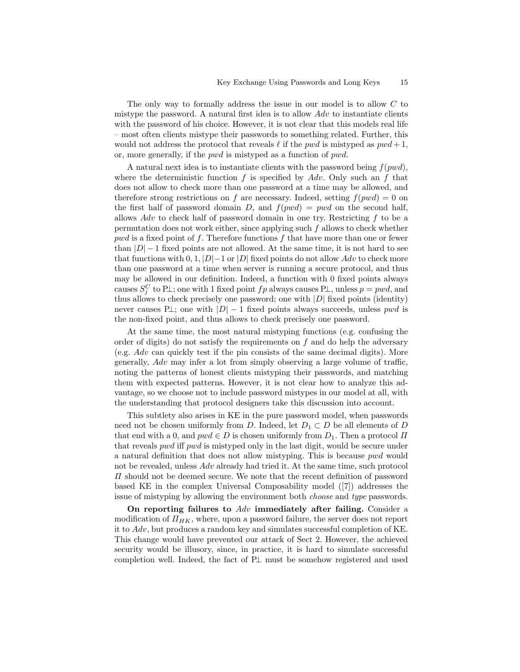The only way to formally address the issue in our model is to allow C to mistype the password. A natural first idea is to allow  $Adv$  to instantiate clients with the password of his choice. However, it is not clear that this models real life – most often clients mistype their passwords to something related. Further, this would not address the protocol that reveals  $\ell$  if the pwd is mistyped as  $pwd + 1$ , or, more generally, if the pwd is mistyped as a function of pwd.

A natural next idea is to instantiate clients with the password being  $f(pwd)$ , where the deterministic function  $f$  is specified by  $Adv$ . Only such an  $f$  that does not allow to check more than one password at a time may be allowed, and therefore strong restrictions on f are necessary. Indeed, setting  $f(pwd) = 0$  on the first half of password domain D, and  $f(pwd) = pwd$  on the second half, allows  $Adv$  to check half of password domain in one try. Restricting  $f$  to be a permutation does not work either, since applying such  $f$  allows to check whether  $pwd$  is a fixed point of f. Therefore functions f that have more than one or fewer than  $|D|-1$  fixed points are not allowed. At the same time, it is not hard to see that functions with 0, 1,  $|D|-1$  or  $|D|$  fixed points do not allow Adv to check more than one password at a time when server is running a secure protocol, and thus may be allowed in our definition. Indeed, a function with 0 fixed points always causes  $S_j^C$  to P⊥; one with 1 fixed point  $fp$  always causes P⊥, unless  $p = pwd$ , and thus allows to check precisely one password; one with  $|D|$  fixed points (identity) never causes P⊥; one with  $|D| - 1$  fixed points always succeeds, unless pwd is the non-fixed point, and thus allows to check precisely one password.

At the same time, the most natural mistyping functions (e.g. confusing the order of digits) do not satisfy the requirements on  $f$  and do help the adversary (e.g. Adv can quickly test if the pin consists of the same decimal digits). More generally, Adv may infer a lot from simply observing a large volume of traffic, noting the patterns of honest clients mistyping their passwords, and matching them with expected patterns. However, it is not clear how to analyze this advantage, so we choose not to include password mistypes in our model at all, with the understanding that protocol designers take this discussion into account.

This subtlety also arises in KE in the pure password model, when passwords need not be chosen uniformly from D. Indeed, let  $D_1 \subset D$  be all elements of D that end with a 0, and  $pwd \in D$  is chosen uniformly from  $D_1$ . Then a protocol  $\Pi$ that reveals pwd iff pwd is mistyped only in the last digit, would be secure under a natural definition that does not allow mistyping. This is because pwd would not be revealed, unless Adv already had tried it. At the same time, such protocol  $\Pi$  should not be deemed secure. We note that the recent definition of password based KE in the complex Universal Composability model ([7]) addresses the issue of mistyping by allowing the environment both choose and type passwords.

On reporting failures to  $Adv$  immediately after failing. Consider a modification of  $\Pi_{HK}$ , where, upon a password failure, the server does not report it to Adv, but produces a random key and simulates successful completion of KE. This change would have prevented our attack of Sect 2. However, the achieved security would be illusory, since, in practice, it is hard to simulate successful completion well. Indeed, the fact of P⊥ must be somehow registered and used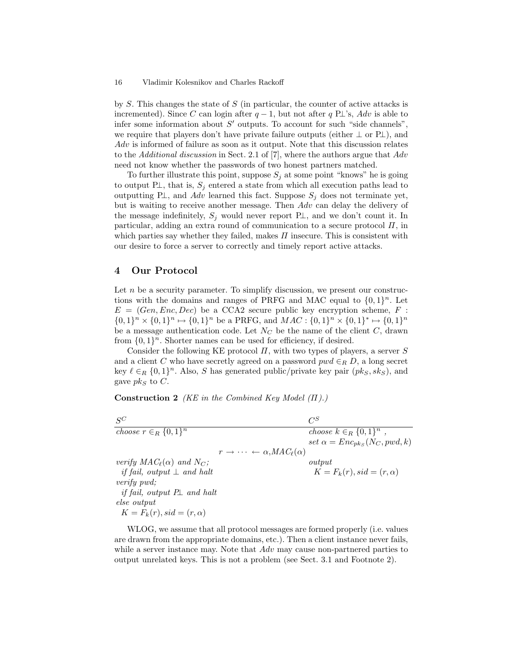by  $S$ . This changes the state of  $S$  (in particular, the counter of active attacks is incremented). Since C can login after  $q-1$ , but not after q P⊥'s, Adv is able to infer some information about  $S'$  outputs. To account for such "side channels", we require that players don't have private failure outputs (either  $\perp$  or P $\perp$ ), and Adv is informed of failure as soon as it output. Note that this discussion relates to the Additional discussion in Sect. 2.1 of [7], where the authors argue that  $Adv$ need not know whether the passwords of two honest partners matched.

To further illustrate this point, suppose  $S_i$  at some point "knows" he is going to output P⊥, that is,  $S_j$  entered a state from which all execution paths lead to outputting P⊥, and Adv learned this fact. Suppose  $S_j$  does not terminate yet, but is waiting to receive another message. Then Adv can delay the delivery of the message indefinitely,  $S_j$  would never report P⊥, and we don't count it. In particular, adding an extra round of communication to a secure protocol  $\Pi$ , in which parties say whether they failed, makes  $\Pi$  insecure. This is consistent with our desire to force a server to correctly and timely report active attacks.

### 4 Our Protocol

Let  $n$  be a security parameter. To simplify discussion, we present our constructions with the domains and ranges of PRFG and MAC equal to  $\{0, 1\}^n$ . Let  $E = (Gen, Enc, Dec)$  be a CCA2 secure public key encryption scheme, F:  $\{0,1\}^n \times \{0,1\}^n \mapsto \{0,1\}^n$  be a PRFG, and  $MAC: \{0,1\}^n \times \{0,1\}^n \mapsto \{0,1\}^n$ be a message authentication code. Let  $N_C$  be the name of the client C, drawn from  $\{0,1\}^n$ . Shorter names can be used for efficiency, if desired.

Consider the following KE protocol  $\Pi$ , with two types of players, a server S and a client C who have secretly agreed on a password  $pwd \in_R D$ , a long secret key  $\ell \in_R \{0, 1\}^n$ . Also, S has generated public/private key pair  $(pk<sub>S</sub>, sk<sub>S</sub>)$ , and gave  $pk_S$  to  $C$ .

**Construction 2** (KE in the Combined Key Model  $(\Pi)$ .)

| $S^C$                                   |                                                              | $\bigcap^S$                           |
|-----------------------------------------|--------------------------------------------------------------|---------------------------------------|
| choose $r \in_R \{0,1\}^n$              |                                                              | choose $k \in_R \{0,1\}^n$ ,          |
|                                         |                                                              | set $\alpha = Enc_{pks}(N_C, pwd, k)$ |
|                                         | $r \rightarrow \cdots \leftarrow \alpha, MAC_{\ell}(\alpha)$ |                                       |
| verify $MAC_{\ell}(\alpha)$ and $N_C$ ; |                                                              | output                                |
| if fail, output $\perp$ and halt        |                                                              | $K = F_k(r)$ , $sid = (r, \alpha)$    |
| <i>verify</i> pwd:                      |                                                              |                                       |
| if fail, output $P\perp$ and halt       |                                                              |                                       |
| else output                             |                                                              |                                       |
| $K = F_k(r)$ , $sid = (r, \alpha)$      |                                                              |                                       |

WLOG, we assume that all protocol messages are formed properly (i.e. values are drawn from the appropriate domains, etc.). Then a client instance never fails, while a server instance may. Note that Adv may cause non-partnered parties to output unrelated keys. This is not a problem (see Sect. 3.1 and Footnote 2).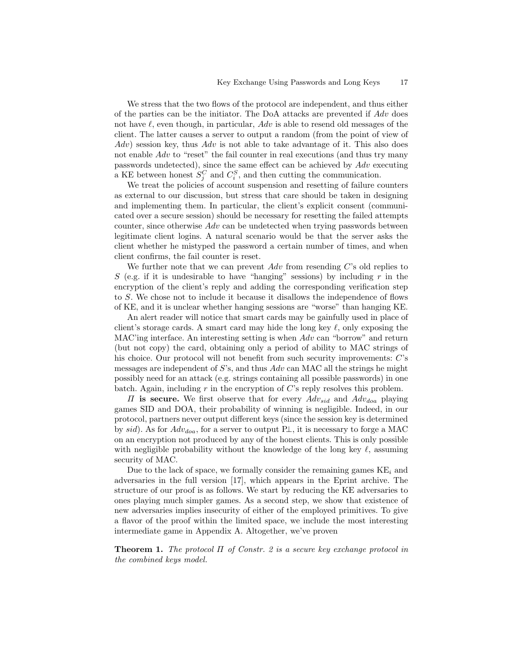We stress that the two flows of the protocol are independent, and thus either of the parties can be the initiator. The DoA attacks are prevented if  $Adv$  does not have  $\ell$ , even though, in particular,  $Adv$  is able to resend old messages of the client. The latter causes a server to output a random (from the point of view of  $Adv$ ) session key, thus  $Adv$  is not able to take advantage of it. This also does not enable Adv to "reset" the fail counter in real executions (and thus try many passwords undetected), since the same effect can be achieved by Adv executing a KE between honest  $S_j^C$  and  $C_i^S$ , and then cutting the communication.

We treat the policies of account suspension and resetting of failure counters as external to our discussion, but stress that care should be taken in designing and implementing them. In particular, the client's explicit consent (communicated over a secure session) should be necessary for resetting the failed attempts counter, since otherwise  $Adv$  can be undetected when trying passwords between legitimate client logins. A natural scenario would be that the server asks the client whether he mistyped the password a certain number of times, and when client confirms, the fail counter is reset.

We further note that we can prevent  $Adv$  from resending  $C$ 's old replies to S (e.g. if it is undesirable to have "hanging" sessions) by including r in the encryption of the client's reply and adding the corresponding verification step to S. We chose not to include it because it disallows the independence of flows of KE, and it is unclear whether hanging sessions are "worse" than hanging KE.

An alert reader will notice that smart cards may be gainfully used in place of client's storage cards. A smart card may hide the long key  $\ell$ , only exposing the  $MAC'$ ing interface. An interesting setting is when  $Adv$  can "borrow" and return (but not copy) the card, obtaining only a period of ability to MAC strings of his choice. Our protocol will not benefit from such security improvements: C's messages are independent of  $S$ 's, and thus  $Adv$  can MAC all the strings he might possibly need for an attack (e.g. strings containing all possible passwords) in one batch. Again, including  $r$  in the encryption of  $C$ 's reply resolves this problem.

 $\Pi$  is secure. We first observe that for every  $Adv_{sid}$  and  $Adv_{doa}$  playing games SID and DOA, their probability of winning is negligible. Indeed, in our protocol, partners never output different keys (since the session key is determined by sid). As for  $Adv_{doa}$ , for a server to output P⊥, it is necessary to forge a MAC on an encryption not produced by any of the honest clients. This is only possible with negligible probability without the knowledge of the long key  $\ell$ , assuming security of MAC.

Due to the lack of space, we formally consider the remaining games  $KE_i$  and adversaries in the full version [17], which appears in the Eprint archive. The structure of our proof is as follows. We start by reducing the KE adversaries to ones playing much simpler games. As a second step, we show that existence of new adversaries implies insecurity of either of the employed primitives. To give a flavor of the proof within the limited space, we include the most interesting intermediate game in Appendix A. Altogether, we've proven

**Theorem 1.** The protocol  $\Pi$  of Constr. 2 is a secure key exchange protocol in the combined keys model.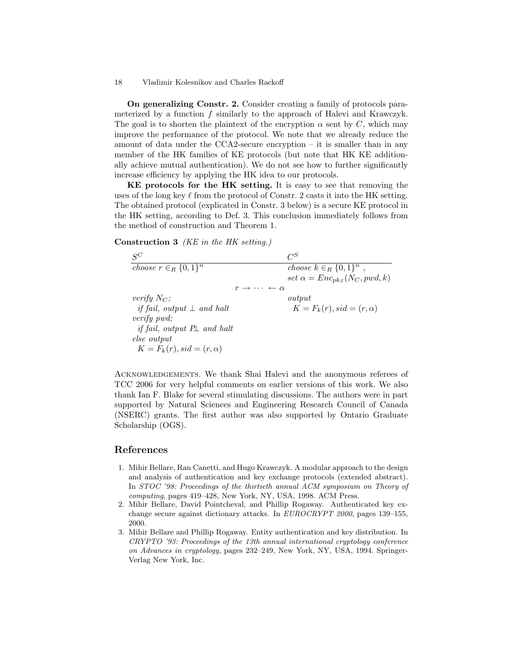On generalizing Constr. 2. Consider creating a family of protocols parameterized by a function  $f$  similarly to the approach of Halevi and Krawczyk. The goal is to shorten the plaintext of the encryption  $\alpha$  sent by C, which may improve the performance of the protocol. We note that we already reduce the amount of data under the CCA2-secure encryption – it is smaller than in any member of the HK families of KE protocols (but note that HK KE additionally achieve mutual authentication). We do not see how to further significantly increase efficiency by applying the HK idea to our protocols.

KE protocols for the HK setting. It is easy to see that removing the uses of the long key  $\ell$  from the protocol of Constr. 2 casts it into the HK setting. The obtained protocol (explicated in Constr. 3 below) is a secure KE protocol in the HK setting, according to Def. 3. This conclusion immediately follows from the method of construction and Theorem 1.

### Construction 3 (KE in the HK setting.)

| $S^C$                                    | $C^{S}$                                |
|------------------------------------------|----------------------------------------|
| choose $r \in_R \{0,1\}^n$               | choose $k \in_R \{0,1\}^n$ ,           |
|                                          | set $\alpha = Enc_{pk_S}(N_C, pwd, k)$ |
| $r \rightarrow \cdots \leftarrow \alpha$ |                                        |
| verify $N_C$ ;                           | output                                 |
| if fail, output $\perp$ and halt         | $K = F_k(r)$ , $sid = (r, \alpha)$     |
| <i>verify</i> pwd;                       |                                        |
| if fail, output $PL$ and halt            |                                        |
| else output                              |                                        |
| $K = F_k(r)$ , sid = $(r, \alpha)$       |                                        |

ACKNOWLEDGEMENTS. We thank Shai Halevi and the anonymous referees of TCC 2006 for very helpful comments on earlier versions of this work. We also thank Ian F. Blake for several stimulating discussions. The authors were in part supported by Natural Sciences and Engineering Research Council of Canada (NSERC) grants. The first author was also supported by Ontario Graduate Scholarship (OGS).

# References

- 1. Mihir Bellare, Ran Canetti, and Hugo Krawczyk. A modular approach to the design and analysis of authentication and key exchange protocols (extended abstract). In STOC '98: Proceedings of the thirtieth annual ACM symposium on Theory of computing, pages 419–428, New York, NY, USA, 1998. ACM Press.
- 2. Mihir Bellare, David Pointcheval, and Phillip Rogaway. Authenticated key exchange secure against dictionary attacks. In EUROCRYPT 2000, pages 139–155, 2000.
- 3. Mihir Bellare and Phillip Rogaway. Entity authentication and key distribution. In CRYPTO '93: Proceedings of the 13th annual international cryptology conference on Advances in cryptology, pages 232–249, New York, NY, USA, 1994. Springer-Verlag New York, Inc.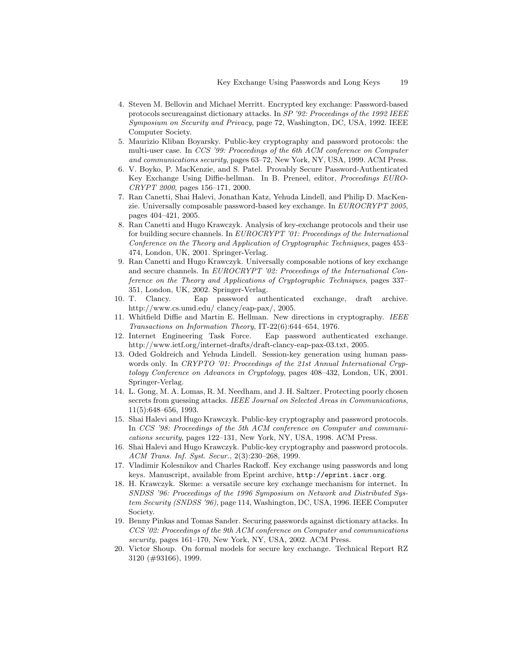- 4. Steven M. Bellovin and Michael Merritt. Encrypted key exchange: Password-based protocols secureagainst dictionary attacks. In SP '92: Proceedings of the 1992 IEEE Symposium on Security and Privacy, page 72, Washington, DC, USA, 1992. IEEE Computer Society.
- 5. Maurizio Kliban Boyarsky. Public-key cryptography and password protocols: the multi-user case. In CCS '99: Proceedings of the 6th ACM conference on Computer and communications security, pages 63–72, New York, NY, USA, 1999. ACM Press.
- 6. V. Boyko, P. MacKenzie, and S. Patel. Provably Secure Password-Authenticated Key Exchange Using Diffie-hellman. In B. Preneel, editor, Proceedings EURO-CRYPT 2000, pages 156–171, 2000.
- 7. Ran Canetti, Shai Halevi, Jonathan Katz, Yehuda Lindell, and Philip D. MacKenzie. Universally composable password-based key exchange. In EUROCRYPT 2005, pages 404–421, 2005.
- 8. Ran Canetti and Hugo Krawczyk. Analysis of key-exchange protocols and their use for building secure channels. In EUROCRYPT '01: Proceedings of the International Conference on the Theory and Application of Cryptographic Techniques, pages 453– 474, London, UK, 2001. Springer-Verlag.
- 9. Ran Canetti and Hugo Krawczyk. Universally composable notions of key exchange and secure channels. In EUROCRYPT '02: Proceedings of the International Conference on the Theory and Applications of Cryptographic Techniques, pages 337– 351, London, UK, 2002. Springer-Verlag.
- 10. T. Clancy. Eap password authenticated exchange, draft archive. http://www.cs.umd.edu/ clancy/eap-pax/, 2005.
- 11. Whitfield Diffie and Martin E. Hellman. New directions in cryptography. IEEE Transactions on Information Theory, IT-22(6):644–654, 1976.
- 12. Internet Engineering Task Force. Eap password authenticated exchange. http://www.ietf.org/internet-drafts/draft-clancy-eap-pax-03.txt, 2005.
- 13. Oded Goldreich and Yehuda Lindell. Session-key generation using human passwords only. In CRYPTO '01: Proceedings of the 21st Annual International Cryptology Conference on Advances in Cryptology, pages 408–432, London, UK, 2001. Springer-Verlag.
- 14. L. Gong, M. A. Lomas, R. M. Needham, and J. H. Saltzer. Protecting poorly chosen secrets from guessing attacks. IEEE Journal on Selected Areas in Communications, 11(5):648–656, 1993.
- 15. Shai Halevi and Hugo Krawczyk. Public-key cryptography and password protocols. In CCS '98: Proceedings of the 5th ACM conference on Computer and communications security, pages 122–131, New York, NY, USA, 1998. ACM Press.
- 16. Shai Halevi and Hugo Krawczyk. Public-key cryptography and password protocols. ACM Trans. Inf. Syst. Secur., 2(3):230–268, 1999.
- 17. Vladimir Kolesnikov and Charles Rackoff. Key exchange using passwords and long keys. Manuscript, available from Eprint archive, http://eprint.iacr.org.
- 18. H. Krawczyk. Skeme: a versatile secure key exchange mechanism for internet. In SNDSS '96: Proceedings of the 1996 Symposium on Network and Distributed System Security (SNDSS '96), page 114, Washington, DC, USA, 1996. IEEE Computer Society.
- 19. Benny Pinkas and Tomas Sander. Securing passwords against dictionary attacks. In CCS '02: Proceedings of the 9th ACM conference on Computer and communications security, pages 161–170, New York, NY, USA, 2002. ACM Press.
- 20. Victor Shoup. On formal models for secure key exchange. Technical Report RZ 3120 (#93166), 1999.